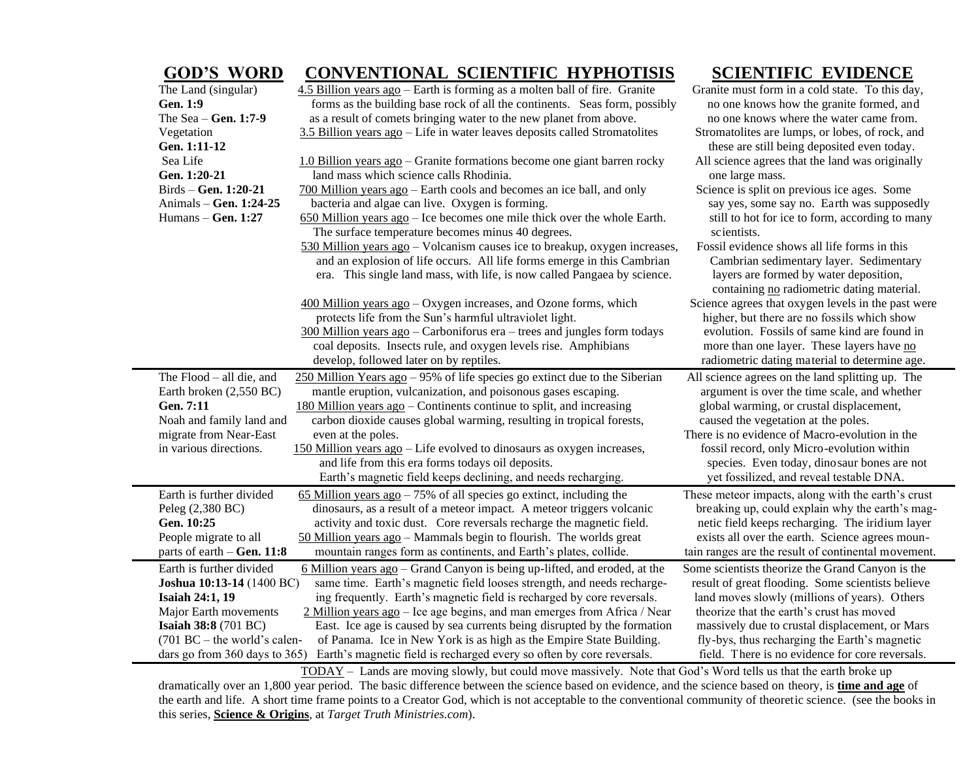## **GOD'S WORD CONVENTIONAL SCIENTIFIC HYPHOTISIS SCIENTIFIC EVIDENCE**  The Land (singular) 4.5 Billion years ago – Earth is forming as a molten ball of fire. Granite Granite must form in a cold state. To this day, Gen. 1:9 **Forms** as the building base rock of all the continents. Seas form, possibly no one knows how the granite formed, and The Sea – **Gen. 1:7-9** as a result of comets bringing water to the new planet from above. no one knows where the water came from. Vegetation 3.5 Billion years ago – Life in water leaves deposits called Stromatolites Stromatolites are lumps, or lobes, of rock, and **Gen. 1:11-12** these are still being deposited even today. Sea Life 1.0 Billion years ago – Granite formations become one giant barren rocky All science agrees that the land was originally Gen. 1:20-21 land mass which science calls Rhodinia. **Similarly contained a set of the calls** cone large mass. Birds – **Gen. 1:20-21** 700 Million years ago – Earth cools and becomes an ice ball, and only Science is split on previous ice ages. Some Animals – **Gen. 1:24-25** bacteria and algae can live. Oxygen is forming. say yes, some say no. Earth was supposedly Humans – **Gen. 1:27** 650 Million years ago – Ice becomes one mile thick over the whole Earth. still to hot for ice to form, according to many The surface temperature becomes minus 40 degrees. Socientists. 530 Million years ago – Volcanism causes ice to breakup, oxygen increases, Fossil evidence shows all life forms in this and an explosion of life occurs. All life forms emerge in this Cambrian Cambrian sedimentary layer. Sedimentary era. This single land mass, with life, is now called Pangaea by science. layers are formed by water deposition, containing no radiometric dating material. 400 Million years ago – Oxygen increases, and Ozone forms, which Science agrees that oxygen levels in the past were protects life from the Sun's harmful ultraviolet light. higher, but there are no fossils which show 300 Million years ago – Carboniforus era – trees and jungles form todays evolution. Fossils of same kind are found in coal deposits. Insects rule, and oxygen levels rise. Amphibians more than one layer. These layers have no develop, followed later on by reptiles. radiometric dating material to determine age. The Flood – all die, and 250 Million Years ago – 95% of life species go extinct due to the Siberian All science agrees on the land splitting up. The Earth broken (2,550 BC) mantle eruption, vulcanization, and poisonous gases escaping. argument is over the time scale, and whether Gen. 7:11 180 Million years ago – Continents continue to split, and increasing global warming, or crustal displacement, Noah and family land and carbon dioxide causes global warming, resulting in tropical forests, caused the vegetation at the poles. migrate from Near-East even at the poles. There is no evidence of Macro-evolution in the in various directions. 150 Million years ago – Life evolved to dinosaurs as oxygen increases, fossil record, only Micro-evolution within and life from this era forms todays oil deposits. Species. Even today, dinosaur bones are not Earth's magnetic field keeps declining, and needs recharging. yet fossilized, and reveal testable DNA. Earth is further divided 65 Million years ago – 75% of all species go extinct, including the These meteor impacts, along with the earth's crust Peleg (2,380 BC) dinosaurs, as a result of a meteor impact. A meteor triggers volcanic breaking up, could explain why the earth's mag-Gen. 10:25 activity and toxic dust. Core reversals recharge the magnetic field. netic field keeps recharging. The iridium layer People migrate to all 50 Million years ago – Mammals begin to flourish. The worlds great exists all over the earth. Science agrees mounparts of earth – Gen. 11:8 mountain ranges form as continents, and Earth's plates, collide. tain ranges are the result of continental movement. Earth is further divided 6 Million years ago – Grand Canyon is being up-lifted, and eroded, at the Some scientists theorize the Grand Canyon is the **Joshua 10:13-14** (1400 BC) same time. Earth's magnetic field looses strength, and needs recharge-result of great flooding. Some scientists believe **Isaiah 24:1, 19** ing frequently. Earth's magnetic field is recharged by core reversals. land moves slowly (millions of years). Others Major Earth movements 2 Million years ago – Ice age begins, and man emerges from Africa / Near theorize that the earth's crust has moved **Isaiah 38:8** (701 BC) East. Ice age is caused by sea currents being disrupted by the formation massively due to crustal displacement, or Mars (701 BC – the world's calen- of Panama. Ice in New York is as high as the Empire State Building. fly-bys, thus recharging the Earth's magnetic dars go from 360 days to 365) Earth's magnetic field is recharged every so often by core reversals. field. There is no evidence for core reversals.

 TODAY – Lands are moving slowly, but could move massively. Note that God's Word tells us that the earth broke up dramatically over an 1,800 year period. The basic difference between the science based on evidence, and the science based on theory, is **time and age** of the earth and life. A short time frame points to a Creator God, which is not acceptable to the conventional community of theoretic science. (see the books in this series, **Science & Origins**, at *Target Truth Ministries.com*).